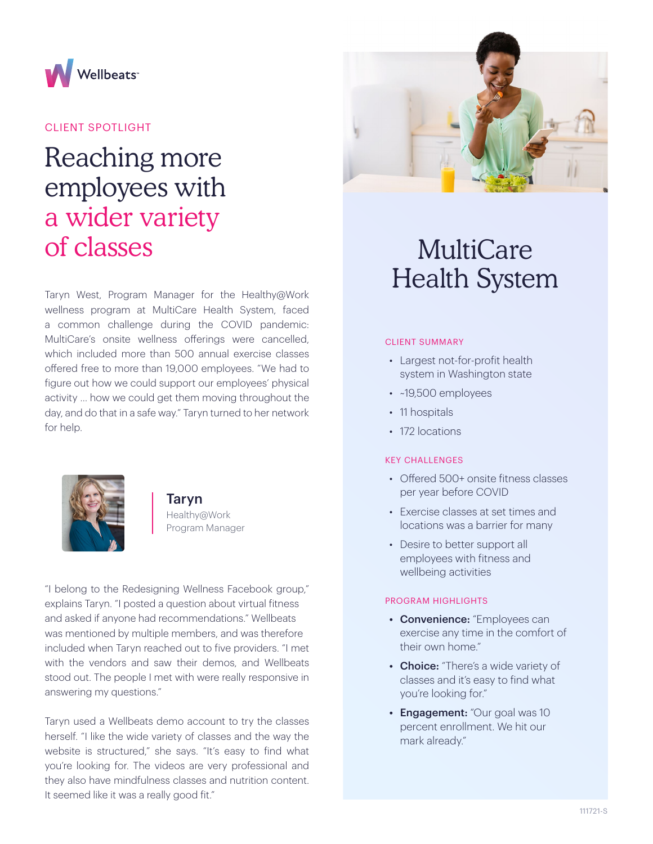

# CLIENT SPOTLIGHT

# Reaching more employees with a wider variety of classes

Taryn West, Program Manager for the Healthy@Work wellness program at MultiCare Health System, faced a common challenge during the COVID pandemic: MultiCare's onsite wellness offerings were cancelled, which included more than 500 annual exercise classes offered free to more than 19,000 employees. "We had to figure out how we could support our employees' physical activity … how we could get them moving throughout the day, and do that in a safe way." Taryn turned to her network for help.



Taryn Healthy@Work Program Manager

"I belong to the Redesigning Wellness Facebook group," explains Taryn. "I posted a question about virtual fitness and asked if anyone had recommendations." Wellbeats was mentioned by multiple members, and was therefore included when Taryn reached out to five providers. "I met with the vendors and saw their demos, and Wellbeats stood out. The people I met with were really responsive in answering my questions."

Taryn used a Wellbeats demo account to try the classes herself. "I like the wide variety of classes and the way the website is structured," she says. "It's easy to find what you're looking for. The videos are very professional and they also have mindfulness classes and nutrition content. It seemed like it was a really good fit."



# **MultiCare** Health System

### CLIENT SUMMARY

- Largest not-for-profit health system in Washington state
- ~19,500 employees
- 11 hospitals
- 172 locations

#### KEY CHALLENGES

- Offered 500+ onsite fitness classes per year before COVID
- Exercise classes at set times and locations was a barrier for many
- Desire to better support all employees with fitness and wellbeing activities

#### PROGRAM HIGHLIGHTS

- Convenience: "Employees can exercise any time in the comfort of their own home."
- Choice: "There's a wide variety of classes and it's easy to find what you're looking for."
- Engagement: "Our goal was 10 percent enrollment. We hit our mark already."